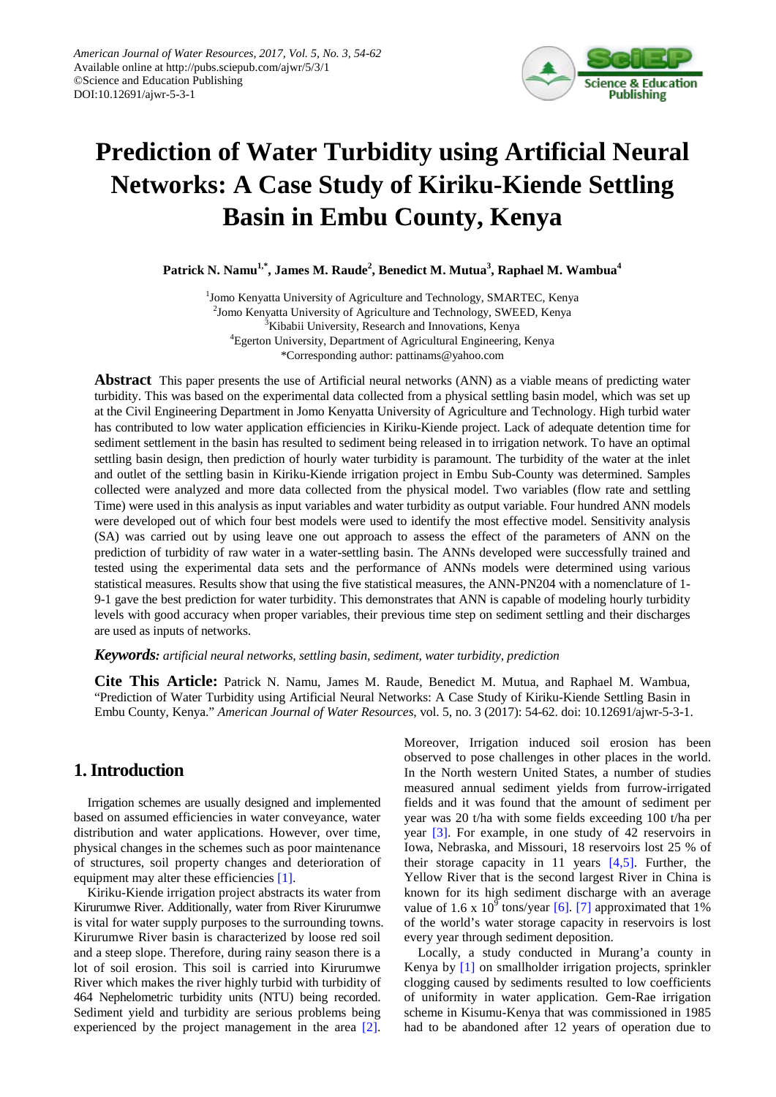

# **Prediction of Water Turbidity using Artificial Neural Networks: A Case Study of Kiriku-Kiende Settling Basin in Embu County, Kenya**

**Patrick N. Namu1,\*, James M. Raude<sup>2</sup> , Benedict M. Mutua<sup>3</sup> , Raphael M. Wambua<sup>4</sup>**

<sup>1</sup>Jomo Kenyatta University of Agriculture and Technology, SMARTEC, Kenya <sup>2</sup>Jomo Kenyatta University of Agriculture and Technology, SWEED, Kenya <sup>3</sup>Kibabii University, Research and Innovations, Kenya 4 Egerton University, Department of Agricultural Engineering, Kenya \*Corresponding author: pattinams@yahoo.com

**Abstract** This paper presents the use of Artificial neural networks (ANN) as a viable means of predicting water turbidity. This was based on the experimental data collected from a physical settling basin model, which was set up at the Civil Engineering Department in Jomo Kenyatta University of Agriculture and Technology. High turbid water has contributed to low water application efficiencies in Kiriku-Kiende project. Lack of adequate detention time for sediment settlement in the basin has resulted to sediment being released in to irrigation network. To have an optimal settling basin design, then prediction of hourly water turbidity is paramount. The turbidity of the water at the inlet and outlet of the settling basin in Kiriku-Kiende irrigation project in Embu Sub-County was determined. Samples collected were analyzed and more data collected from the physical model. Two variables (flow rate and settling Time) were used in this analysis as input variables and water turbidity as output variable. Four hundred ANN models were developed out of which four best models were used to identify the most effective model. Sensitivity analysis (SA) was carried out by using leave one out approach to assess the effect of the parameters of ANN on the prediction of turbidity of raw water in a water-settling basin. The ANNs developed were successfully trained and tested using the experimental data sets and the performance of ANNs models were determined using various statistical measures. Results show that using the five statistical measures, the ANN-PN204 with a nomenclature of 1- 9-1 gave the best prediction for water turbidity. This demonstrates that ANN is capable of modeling hourly turbidity levels with good accuracy when proper variables, their previous time step on sediment settling and their discharges are used as inputs of networks.

#### *Keywords: artificial neural networks, settling basin, sediment, water turbidity, prediction*

**Cite This Article:** Patrick N. Namu, James M. Raude, Benedict M. Mutua, and Raphael M. Wambua, "Prediction of Water Turbidity using Artificial Neural Networks: A Case Study of Kiriku-Kiende Settling Basin in Embu County, Kenya." *American Journal of Water Resources*, vol. 5, no. 3 (2017): 54-62. doi: 10.12691/ajwr-5-3-1.

# **1. Introduction**

Irrigation schemes are usually designed and implemented based on assumed efficiencies in water conveyance, water distribution and water applications. However, over time, physical changes in the schemes such as poor maintenance of structures, soil property changes and deterioration of equipment may alter these efficiencies [\[1\].](#page-7-0)

Kiriku-Kiende irrigation project abstracts its water from Kirurumwe River. Additionally, water from River Kirurumwe is vital for water supply purposes to the surrounding towns. Kirurumwe River basin is characterized by loose red soil and a steep slope. Therefore, during rainy season there is a lot of soil erosion. This soil is carried into Kirurumwe River which makes the river highly turbid with turbidity of 464 Nephelometric turbidity units (NTU) being recorded. Sediment yield and turbidity are serious problems being experienced by the project management in the area [\[2\].](#page-7-1)

Moreover, Irrigation induced soil erosion has been observed to pose challenges in other places in the world. In the North western United States, a number of studies measured annual sediment yields from furrow-irrigated fields and it was found that the amount of sediment per year was 20 t/ha with some fields exceeding 100 t/ha per year [\[3\].](#page-7-2) For example, in one study of 42 reservoirs in Iowa, Nebraska, and Missouri, 18 reservoirs lost 25 % of their storage capacity in 11 years [\[4,5\].](#page-7-3) Further, the Yellow River that is the second largest River in China is known for its high sediment discharge with an average value of 1.6 x  $10^9$  tons/year [\[6\].](#page-8-0) [\[7\]](#page-8-1) approximated that 1% of the world's water storage capacity in reservoirs is lost every year through sediment deposition.

Locally, a study conducted in Murang'a county in Kenya by [\[1\]](#page-7-0) on smallholder irrigation projects, sprinkler clogging caused by sediments resulted to low coefficients of uniformity in water application. Gem-Rae irrigation scheme in Kisumu-Kenya that was commissioned in 1985 had to be abandoned after 12 years of operation due to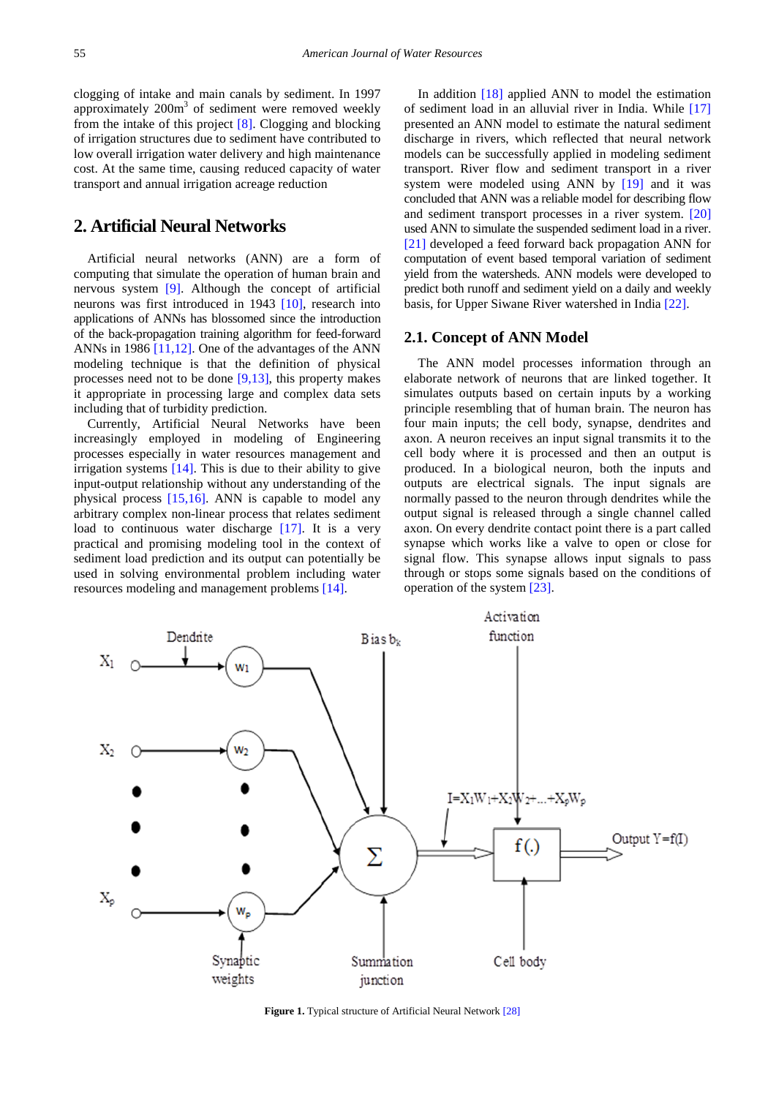clogging of intake and main canals by sediment. In 1997 approximately  $200m<sup>3</sup>$  of sediment were removed weekly from the intake of this project [\[8\].](#page-8-2) Clogging and blocking of irrigation structures due to sediment have contributed to low overall irrigation water delivery and high maintenance cost. At the same time, causing reduced capacity of water transport and annual irrigation acreage reduction

# **2. Artificial Neural Networks**

Artificial neural networks (ANN) are a form of computing that simulate the operation of human brain and nervous system [\[9\].](#page-8-3) Although the concept of artificial neurons was first introduced in 1943 [\[10\],](#page-8-4) research into applications of ANNs has blossomed since the introduction of the back-propagation training algorithm for feed-forward ANNs in 1986 [\[11,12\].](#page-8-5) One of the advantages of the ANN modeling technique is that the definition of physical processes need not to be done [\[9,13\],](#page-8-3) this property makes it appropriate in processing large and complex data sets including that of turbidity prediction.

Currently, Artificial Neural Networks have been increasingly employed in modeling of Engineering processes especially in water resources management and irrigation systems [\[14\].](#page-8-6) This is due to their ability to give input-output relationship without any understanding of the physical process [\[15,16\].](#page-8-7) ANN is capable to model any arbitrary complex non-linear process that relates sediment load to continuous water discharge [\[17\].](#page-8-8) It is a very practical and promising modeling tool in the context of sediment load prediction and its output can potentially be used in solving environmental problem including water resources modeling and management problems [\[14\].](#page-8-6)

In addition [\[18\]](#page-8-9) applied ANN to model the estimation of sediment load in an alluvial river in India. While [\[17\]](#page-8-8) presented an ANN model to estimate the natural sediment discharge in rivers, which reflected that neural network models can be successfully applied in modeling sediment transport. River flow and sediment transport in a river system were modeled using ANN by [\[19\]](#page-8-10) and it was concluded that ANN was a reliable model for describing flow and sediment transport processes in a river system. [\[20\]](#page-8-11) used ANN to simulate the suspended sediment load in a river. [\[21\]](#page-8-12) developed a feed forward back propagation ANN for computation of event based temporal variation of sediment yield from the watersheds. ANN models were developed to predict both runoff and sediment yield on a daily and weekly basis, for Upper Siwane River watershed in India [\[22\].](#page-8-13)

#### **2.1. Concept of ANN Model**

The ANN model processes information through an elaborate network of neurons that are linked together. It simulates outputs based on certain inputs by a working principle resembling that of human brain. The neuron has four main inputs; the cell body, synapse, dendrites and axon. A neuron receives an input signal transmits it to the cell body where it is processed and then an output is produced. In a biological neuron, both the inputs and outputs are electrical signals. The input signals are normally passed to the neuron through dendrites while the output signal is released through a single channel called axon. On every dendrite contact point there is a part called synapse which works like a valve to open or close for signal flow. This synapse allows input signals to pass through or stops some signals based on the conditions of operation of the system [\[23\].](#page-8-14)



**Figure 1.** Typical structure of Artificial Neural Network [\[28\]](#page-8-15)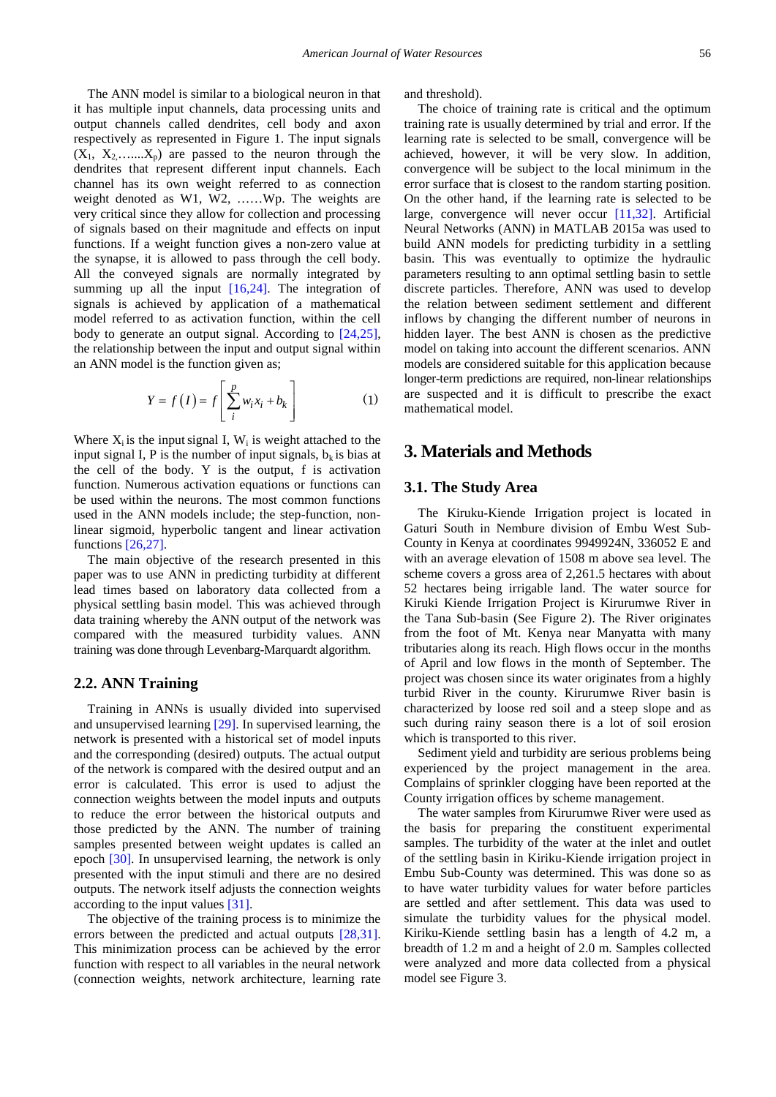The ANN model is similar to a biological neuron in that it has multiple input channels, data processing units and output channels called dendrites, cell body and axon respectively as represented in Figure 1. The input signals  $(X_1, X_2, \ldots, X_p)$  are passed to the neuron through the dendrites that represent different input channels. Each channel has its own weight referred to as connection weight denoted as W1, W2, ……Wp. The weights are very critical since they allow for collection and processing of signals based on their magnitude and effects on input functions. If a weight function gives a non-zero value at the synapse, it is allowed to pass through the cell body. All the conveyed signals are normally integrated by summing up all the input [\[16,24\].](#page-8-16) The integration of signals is achieved by application of a mathematical model referred to as activation function, within the cell body to generate an output signal. According to [\[24,25\],](#page-8-17) the relationship between the input and output signal within an ANN model is the function given as;

$$
Y = f(I) = f\left[\sum_{i}^{p} w_i x_i + b_k\right]
$$
 (1)

Where  $X_i$  is the input signal I,  $W_i$  is weight attached to the input signal I, P is the number of input signals,  $b_k$  is bias at the cell of the body. Y is the output, f is activation function. Numerous activation equations or functions can be used within the neurons. The most common functions used in the ANN models include; the step-function, nonlinear sigmoid, hyperbolic tangent and linear activation functions [\[26,27\].](#page-8-18)

The main objective of the research presented in this paper was to use ANN in predicting turbidity at different lead times based on laboratory data collected from a physical settling basin model. This was achieved through data training whereby the ANN output of the network was compared with the measured turbidity values. ANN training was done through Levenbarg-Marquardt algorithm.

#### **2.2. ANN Training**

Training in ANNs is usually divided into supervised and unsupervised learning [\[29\].](#page-8-19) In supervised learning, the network is presented with a historical set of model inputs and the corresponding (desired) outputs. The actual output of the network is compared with the desired output and an error is calculated. This error is used to adjust the connection weights between the model inputs and outputs to reduce the error between the historical outputs and those predicted by the ANN. The number of training samples presented between weight updates is called an epoch [\[30\].](#page-8-20) In unsupervised learning, the network is only presented with the input stimuli and there are no desired outputs. The network itself adjusts the connection weights according to the input value[s \[31\].](#page-8-21)

The objective of the training process is to minimize the errors between the predicted and actual outputs [\[28,31\].](#page-8-15) This minimization process can be achieved by the error function with respect to all variables in the neural network (connection weights, network architecture, learning rate and threshold).

The choice of training rate is critical and the optimum training rate is usually determined by trial and error. If the learning rate is selected to be small, convergence will be achieved, however, it will be very slow. In addition, convergence will be subject to the local minimum in the error surface that is closest to the random starting position. On the other hand, if the learning rate is selected to be large, convergence will never occur [\[11,32\].](#page-8-5) Artificial Neural Networks (ANN) in MATLAB 2015a was used to build ANN models for predicting turbidity in a settling basin. This was eventually to optimize the hydraulic parameters resulting to ann optimal settling basin to settle discrete particles. Therefore, ANN was used to develop the relation between sediment settlement and different inflows by changing the different number of neurons in hidden layer. The best ANN is chosen as the predictive model on taking into account the different scenarios. ANN models are considered suitable for this application because longer-term predictions are required, non-linear relationships are suspected and it is difficult to prescribe the exact mathematical model.

# **3. Materials and Methods**

#### **3.1. The Study Area**

The Kiruku-Kiende Irrigation project is located in Gaturi South in Nembure division of Embu West Sub-County in Kenya at coordinates 9949924N, 336052 E and with an average elevation of 1508 m above sea level. The scheme covers a gross area of 2,261.5 hectares with about 52 hectares being irrigable land. The water source for Kiruki Kiende Irrigation Project is Kirurumwe River in the Tana Sub-basin (See Figure 2). The River originates from the foot of Mt. Kenya near Manyatta with many tributaries along its reach. High flows occur in the months of April and low flows in the month of September. The project was chosen since its water originates from a highly turbid River in the county. Kirurumwe River basin is characterized by loose red soil and a steep slope and as such during rainy season there is a lot of soil erosion which is transported to this river.

Sediment yield and turbidity are serious problems being experienced by the project management in the area. Complains of sprinkler clogging have been reported at the County irrigation offices by scheme management.

The water samples from Kirurumwe River were used as the basis for preparing the constituent experimental samples. The turbidity of the water at the inlet and outlet of the settling basin in Kiriku-Kiende irrigation project in Embu Sub-County was determined. This was done so as to have water turbidity values for water before particles are settled and after settlement. This data was used to simulate the turbidity values for the physical model. Kiriku-Kiende settling basin has a length of 4.2 m, a breadth of 1.2 m and a height of 2.0 m. Samples collected were analyzed and more data collected from a physical model see Figure 3.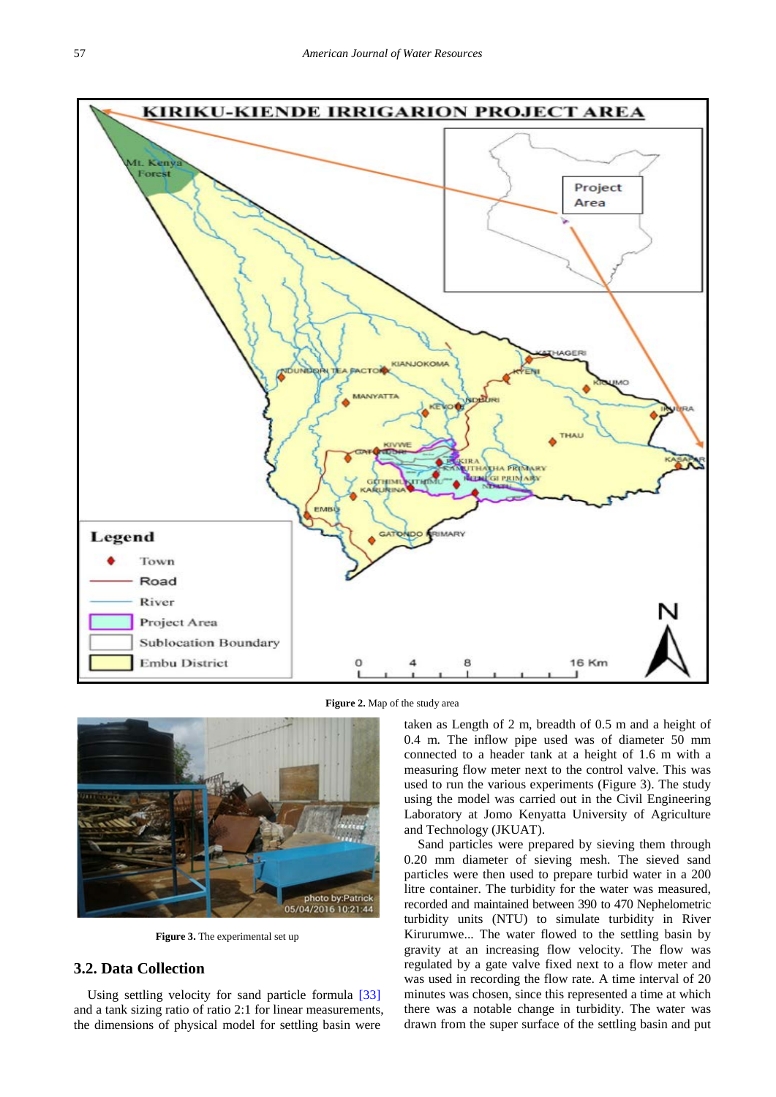

**Figure 2.** Map of the study area



**Figure 3.** The experimental set up

## **3.2. Data Collection**

Using settling velocity for sand particle formula [\[33\]](#page-8-22) and a tank sizing ratio of ratio 2:1 for linear measurements, the dimensions of physical model for settling basin were

taken as Length of 2 m, breadth of 0.5 m and a height of 0.4 m. The inflow pipe used was of diameter 50 mm connected to a header tank at a height of 1.6 m with a measuring flow meter next to the control valve. This was used to run the various experiments (Figure 3). The study using the model was carried out in the Civil Engineering Laboratory at Jomo Kenyatta University of Agriculture and Technology (JKUAT).

Sand particles were prepared by sieving them through 0.20 mm diameter of sieving mesh. The sieved sand particles were then used to prepare turbid water in a 200 litre container. The turbidity for the water was measured, recorded and maintained between 390 to 470 Nephelometric turbidity units (NTU) to simulate turbidity in River Kirurumwe... The water flowed to the settling basin by gravity at an increasing flow velocity. The flow was regulated by a gate valve fixed next to a flow meter and was used in recording the flow rate. A time interval of 20 minutes was chosen, since this represented a time at which there was a notable change in turbidity. The water was drawn from the super surface of the settling basin and put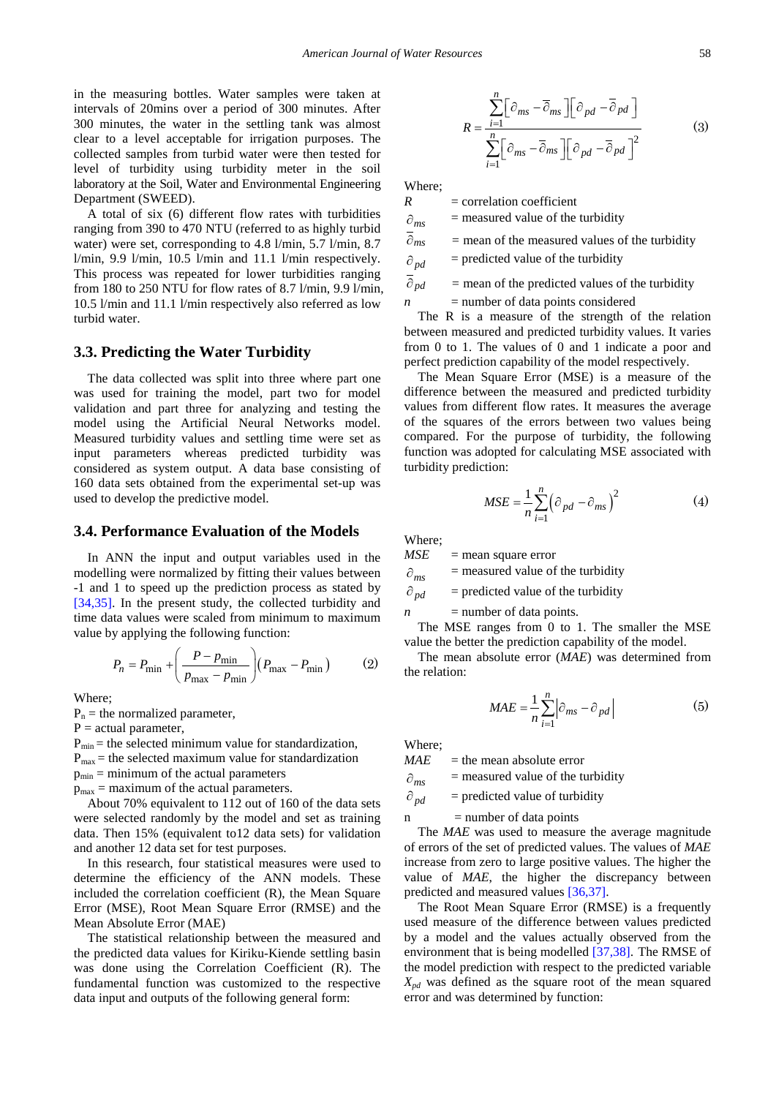in the measuring bottles. Water samples were taken at intervals of 20mins over a period of 300 minutes. After 300 minutes, the water in the settling tank was almost clear to a level acceptable for irrigation purposes. The collected samples from turbid water were then tested for level of turbidity using turbidity meter in the soil laboratory at the Soil, Water and Environmental Engineering Department (SWEED).

A total of six (6) different flow rates with turbidities ranging from 390 to 470 NTU (referred to as highly turbid water) were set, corresponding to 4.8 l/min, 5.7 l/min, 8.7  $1/\text{min}$ , 9.9  $1/\text{min}$ , 10.5  $1/\text{min}$  and 11.1  $1/\text{min}$  respectively. This process was repeated for lower turbidities ranging from 180 to 250 NTU for flow rates of 8.7 l/min, 9.9 l/min, 10.5 l/min and 11.1 l/min respectively also referred as low turbid water.

#### **3.3. Predicting the Water Turbidity**

The data collected was split into three where part one was used for training the model, part two for model validation and part three for analyzing and testing the model using the Artificial Neural Networks model. Measured turbidity values and settling time were set as input parameters whereas predicted turbidity was considered as system output. A data base consisting of 160 data sets obtained from the experimental set-up was used to develop the predictive model.

#### **3.4. Performance Evaluation of the Models**

In ANN the input and output variables used in the modelling were normalized by fitting their values between -1 and 1 to speed up the prediction process as stated by [\[34,35\].](#page-8-23) In the present study, the collected turbidity and time data values were scaled from minimum to maximum value by applying the following function:

$$
P_n = P_{\min} + \left(\frac{P - p_{\min}}{p_{\max} - p_{\min}}\right) (P_{\max} - P_{\min})
$$
 (2)

Where;

 $P_n$  = the normalized parameter,

 $P = actual parameter$ ,

 $P_{min}$  = the selected minimum value for standardization,

 $P_{\text{max}}$  = the selected maximum value for standardization

 $p_{min}$  = minimum of the actual parameters

 $p_{\text{max}}$  = maximum of the actual parameters.

About 70% equivalent to 112 out of 160 of the data sets were selected randomly by the model and set as training data. Then 15% (equivalent to12 data sets) for validation and another 12 data set for test purposes.

In this research, four statistical measures were used to determine the efficiency of the ANN models. These included the correlation coefficient (R), the Mean Square Error (MSE), Root Mean Square Error (RMSE) and the Mean Absolute Error (MAE)

The statistical relationship between the measured and the predicted data values for Kiriku-Kiende settling basin was done using the Correlation Coefficient (R). The fundamental function was customized to the respective data input and outputs of the following general form:

$$
R = \frac{\sum_{i=1}^{n} \left[ \partial_{ms} - \overline{\partial}_{ms} \right] \left[ \partial_{pd} - \overline{\partial}_{pd} \right]}{\sum_{i=1}^{n} \left[ \partial_{ms} - \overline{\partial}_{ms} \right] \left[ \partial_{pd} - \overline{\partial}_{pd} \right]^2}
$$
(3)

Where;

 $R =$  correlation coefficient

 $\partial_{ms}$  = measured value of the turbidity

 $\overline{\hat{\theta}}_{ms}$  = mean of the measured values of the turbidity

 $\partial_{pd}$  = predicted value of the turbidity

 $\overline{\partial}_{pd}$  = mean of the predicted values of the turbidity

 $n$  = number of data points considered

The R is a measure of the strength of the relation between measured and predicted turbidity values. It varies from 0 to 1. The values of 0 and 1 indicate a poor and perfect prediction capability of the model respectively.

The Mean Square Error (MSE) is a measure of the difference between the measured and predicted turbidity values from different flow rates. It measures the average of the squares of the errors between two values being compared. For the purpose of turbidity, the following function was adopted for calculating MSE associated with turbidity prediction:

$$
MSE = \frac{1}{n} \sum_{i=1}^{n} \left(\frac{\partial_{pd} - \partial_{ms}}{\partial t}\right)^2
$$
 (4)

Where;

 $MSE$  = mean square error

 $\partial_{ms}$  = measured value of the turbidity

 $\partial_{pd}$  = predicted value of the turbidity

 $n$  = number of data points.

The MSE ranges from 0 to 1. The smaller the MSE value the better the prediction capability of the model.

The mean absolute error (*MAE*) was determined from the relation:

$$
MAE = \frac{1}{n} \sum_{i=1}^{n} \left| \hat{\sigma}_{ms} - \hat{\sigma}_{pd} \right|
$$
 (5)

Where;

 $MAE$  = the mean absolute error

 $\partial_{ms}$  = measured value of the turbidity

 $\partial_{\textit{nd}}$  = predicted value of turbidity

 $n$  = number of data points

The *MAE* was used to measure the average magnitude of errors of the set of predicted values. The values of *MAE* increase from zero to large positive values. The higher the value of *MAE*, the higher the discrepancy between predicted and measured value[s \[36,37\].](#page-8-24)

The Root Mean Square Error (RMSE) is a frequently used measure of the difference between values predicted by a model and the values actually observed from the environment that is being modelled [\[37,38\].](#page-8-25) The RMSE of the model prediction with respect to the predicted variable  $X_{nd}$  was defined as the square root of the mean squared error and was determined by function: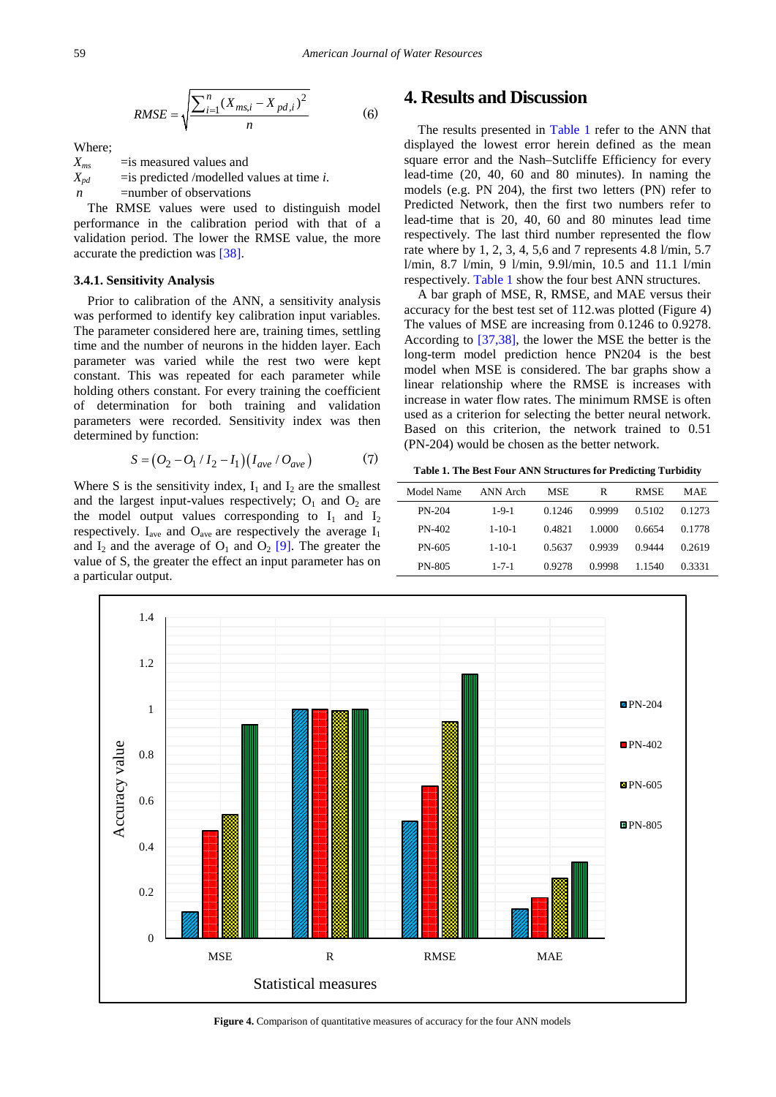RMSE = 
$$
\sqrt{\frac{\sum_{i=1}^{n} (X_{ms,i} - X_{pd,i})^2}{n}}
$$
 (6)

Where;

 $X_{ms}$  = is measured values and  $X_{pd}$  = is predicted /modelled values at time *i*. *n* = number of observations

The RMSE values were used to distinguish model performance in the calibration period with that of a validation period. The lower the RMSE value, the more accurate the prediction was [\[38\].](#page-8-26)

#### **3.4.1. Sensitivity Analysis**

Prior to calibration of the ANN, a sensitivity analysis was performed to identify key calibration input variables. The parameter considered here are, training times, settling time and the number of neurons in the hidden layer. Each parameter was varied while the rest two were kept constant. This was repeated for each parameter while holding others constant. For every training the coefficient of determination for both training and validation parameters were recorded. Sensitivity index was then determined by function:

$$
S = (O_2 - O_1 / I_2 - I_1)(I_{ave} / O_{ave})
$$
 (7)

Where S is the sensitivity index,  $I_1$  and  $I_2$  are the smallest and the largest input-values respectively;  $O_1$  and  $O_2$  are the model output values corresponding to  $I_1$  and  $I_2$ respectively.  $I_{ave}$  and  $O_{ave}$  are respectively the average  $I_1$ and  $I_2$  and the average of  $O_1$  and  $O_2$  [\[9\].](#page-8-3) The greater the value of S, the greater the effect an input parameter has on a particular output.

# **4. Results and Discussion**

The results presented in [Table 1](#page-5-0) refer to the ANN that displayed the lowest error herein defined as the mean square error and the Nash–Sutcliffe Efficiency for every lead-time (20, 40, 60 and 80 minutes). In naming the models (e.g. PN 204), the first two letters (PN) refer to Predicted Network, then the first two numbers refer to lead-time that is 20, 40, 60 and 80 minutes lead time respectively. The last third number represented the flow rate where by 1, 2, 3, 4, 5,6 and 7 represents 4.8 l/min, 5.7 l/min, 8.7 l/min, 9 l/min, 9.9l/min, 10.5 and 11.1 l/min respectively. [Table 1](#page-5-0) show the four best ANN structures.

A bar graph of MSE, R, RMSE, and MAE versus their accuracy for the best test set of 112.was plotted (Figure 4) The values of MSE are increasing from 0.1246 to 0.9278. According to [\[37,38\],](#page-8-25) the lower the MSE the better is the long-term model prediction hence PN204 is the best model when MSE is considered. The bar graphs show a linear relationship where the RMSE is increases with increase in water flow rates. The minimum RMSE is often used as a criterion for selecting the better neural network. Based on this criterion, the network trained to 0.51 (PN-204) would be chosen as the better network.

**Table 1. The Best Four ANN Structures for Predicting Turbidity**

<span id="page-5-0"></span>

| Model Name    | ANN Arch     | <b>MSE</b> | R      | <b>RMSE</b> | MAE    |
|---------------|--------------|------------|--------|-------------|--------|
| $PN-204$      | $1 - 9 - 1$  | 0.1246     | 0.9999 | 0.5102      | 0.1273 |
| <b>PN-402</b> | $1 - 10 - 1$ | 0.4821     | 1.0000 | 0.6654      | 0.1778 |
| PN-605        | $1 - 10 - 1$ | 0.5637     | 0.9939 | 0.9444      | 0.2619 |
| PN-805        | $1 - 7 - 1$  | 0.9278     | 0.9998 | 1.1540      | 0.3331 |



**Figure 4.** Comparison of quantitative measures of accuracy for the four ANN models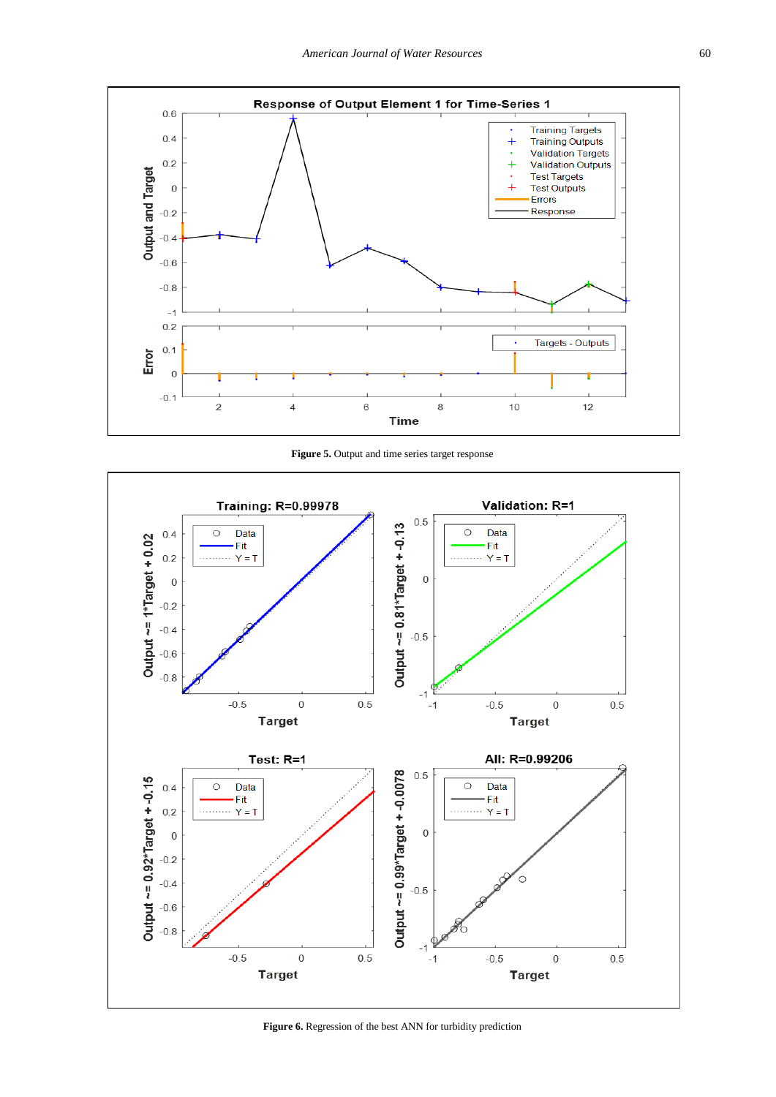

**Figure 5.** Output and time series target response



**Figure 6.** Regression of the best ANN for turbidity prediction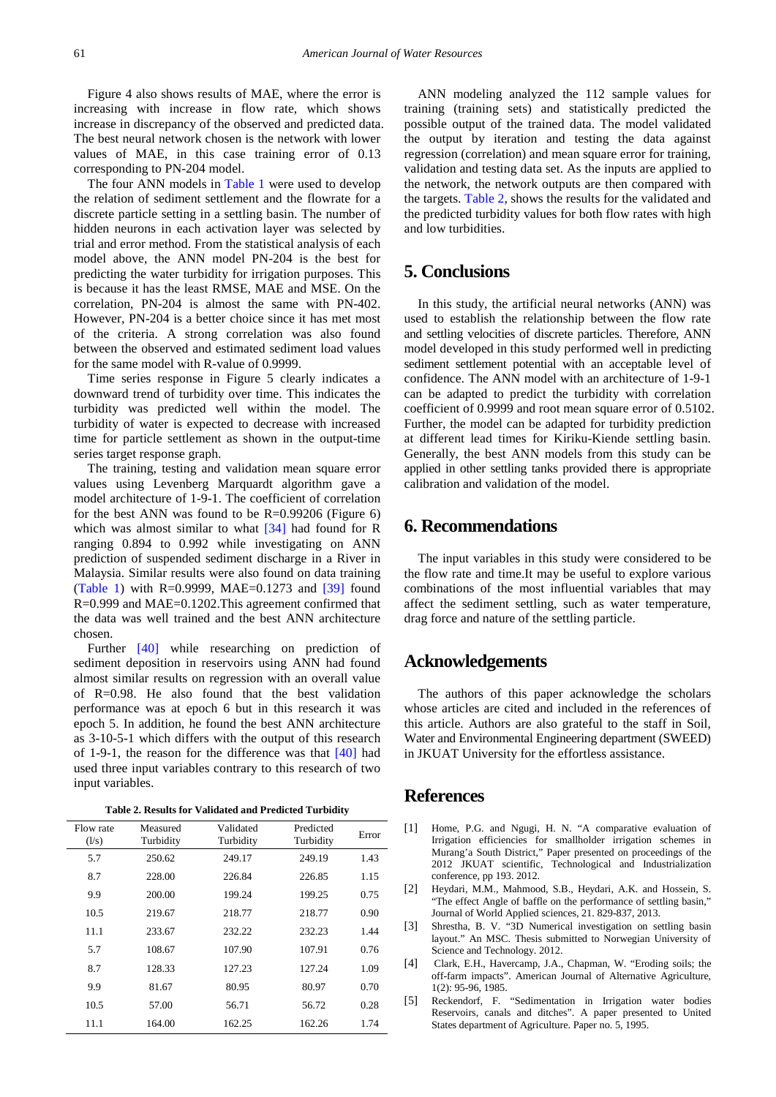Figure 4 also shows results of MAE, where the error is increasing with increase in flow rate, which shows increase in discrepancy of the observed and predicted data. The best neural network chosen is the network with lower values of MAE, in this case training error of 0.13 corresponding to PN-204 model.

The four ANN models in [Table 1](#page-5-0) were used to develop the relation of sediment settlement and the flowrate for a discrete particle setting in a settling basin. The number of hidden neurons in each activation layer was selected by trial and error method. From the statistical analysis of each model above, the ANN model PN-204 is the best for predicting the water turbidity for irrigation purposes. This is because it has the least RMSE, MAE and MSE. On the correlation, PN-204 is almost the same with PN-402. However, PN-204 is a better choice since it has met most of the criteria. A strong correlation was also found between the observed and estimated sediment load values for the same model with R-value of 0.9999.

Time series response in Figure 5 clearly indicates a downward trend of turbidity over time. This indicates the turbidity was predicted well within the model. The turbidity of water is expected to decrease with increased time for particle settlement as shown in the output-time series target response graph.

The training, testing and validation mean square error values using Levenberg Marquardt algorithm gave a model architecture of 1-9-1. The coefficient of correlation for the best ANN was found to be R=0.99206 (Figure 6) which was almost similar to what  $[34]$  had found for R ranging 0.894 to 0.992 while investigating on ANN prediction of suspended sediment discharge in a River in Malaysia. Similar results were also found on data training [\(Table 1\)](#page-5-0) with R=0.9999, MAE=0.1273 and [\[39\]](#page-8-27) found R=0.999 and MAE=0.1202.This agreement confirmed that the data was well trained and the best ANN architecture chosen.

Further [\[40\]](#page-8-28) while researching on prediction of sediment deposition in reservoirs using ANN had found almost similar results on regression with an overall value of R=0.98. He also found that the best validation performance was at epoch 6 but in this research it was epoch 5. In addition, he found the best ANN architecture as 3-10-5-1 which differs with the output of this research of 1-9-1, the reason for the difference was that [\[40\]](#page-8-28) had used three input variables contrary to this research of two input variables.

**Table 2. Results for Validated and Predicted Turbidity**

<span id="page-7-4"></span>

| Flow rate<br>(1/s) | Measured<br>Turbidity | Validated<br>Turbidity | Predicted<br>Turbidity | Error |
|--------------------|-----------------------|------------------------|------------------------|-------|
| 5.7                | 250.62                | 249.17                 | 249.19                 | 1.43  |
| 8.7                | 228.00                | 226.84                 | 226.85                 | 1.15  |
| 9.9                | 200.00                | 199.24                 | 199.25                 | 0.75  |
| 10.5               | 219.67                | 218.77                 | 218.77                 | 0.90  |
| 11.1               | 233.67                | 232.22                 | 232.23                 | 1.44  |
| 5.7                | 108.67                | 107.90                 | 107.91                 | 0.76  |
| 8.7                | 128.33                | 127.23                 | 127.24                 | 1.09  |
| 9.9                | 81.67                 | 80.95                  | 80.97                  | 0.70  |
| 10.5               | 57.00                 | 56.71                  | 56.72                  | 0.28  |
| 11.1               | 164.00                | 162.25                 | 162.26                 | 1.74  |

ANN modeling analyzed the 112 sample values for training (training sets) and statistically predicted the possible output of the trained data. The model validated the output by iteration and testing the data against regression (correlation) and mean square error for training, validation and testing data set. As the inputs are applied to the network, the network outputs are then compared with the targets. [Table 2,](#page-7-4) shows the results for the validated and the predicted turbidity values for both flow rates with high and low turbidities.

# **5. Conclusions**

In this study, the artificial neural networks (ANN) was used to establish the relationship between the flow rate and settling velocities of discrete particles. Therefore, ANN model developed in this study performed well in predicting sediment settlement potential with an acceptable level of confidence. The ANN model with an architecture of 1-9-1 can be adapted to predict the turbidity with correlation coefficient of 0.9999 and root mean square error of 0.5102. Further, the model can be adapted for turbidity prediction at different lead times for Kiriku-Kiende settling basin. Generally, the best ANN models from this study can be applied in other settling tanks provided there is appropriate calibration and validation of the model.

## **6. Recommendations**

The input variables in this study were considered to be the flow rate and time.It may be useful to explore various combinations of the most influential variables that may affect the sediment settling, such as water temperature, drag force and nature of the settling particle.

# **Acknowledgements**

The authors of this paper acknowledge the scholars whose articles are cited and included in the references of this article. Authors are also grateful to the staff in Soil, Water and Environmental Engineering department (SWEED) in JKUAT University for the effortless assistance.

## **References**

- <span id="page-7-0"></span>[1] Home, P.G. and Ngugi, H. N. "A comparative evaluation of Irrigation efficiencies for smallholder irrigation schemes in Murang'a South District," Paper presented on proceedings of the 2012 JKUAT scientific, Technological and Industrialization conference, pp 193. 2012.
- <span id="page-7-1"></span>[2] Heydari, M.M., Mahmood, S.B., Heydari, A.K. and Hossein, S. "The effect Angle of baffle on the performance of settling basin," Journal of World Applied sciences, 21. 829-837, 2013.
- <span id="page-7-2"></span>[3] Shrestha, B. V. "3D Numerical investigation on settling basin layout." An MSC. Thesis submitted to Norwegian University of Science and Technology. 2012.
- <span id="page-7-3"></span>[4] Clark, E.H., Havercamp, J.A., Chapman, W. "Eroding soils; the off-farm impacts". American Journal of Alternative Agriculture, 1(2): 95-96, 1985.
- [5] Reckendorf, F. "Sedimentation in Irrigation water bodies Reservoirs, canals and ditches". A paper presented to United States department of Agriculture. Paper no. 5, 1995.